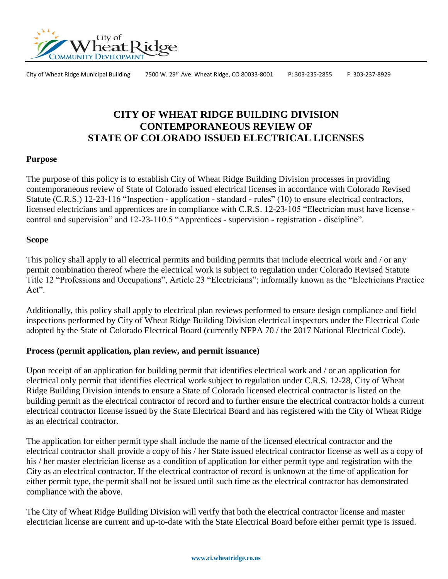

City of Wheat Ridge Municipal Building 7500 W. 29th Ave. Wheat Ridge, CO 80033-8001 P: 303-235-2855 F: 303-237-8929

# **CITY OF WHEAT RIDGE BUILDING DIVISION CONTEMPORANEOUS REVIEW OF STATE OF COLORADO ISSUED ELECTRICAL LICENSES**

### **Purpose**

The purpose of this policy is to establish City of Wheat Ridge Building Division processes in providing contemporaneous review of State of Colorado issued electrical licenses in accordance with Colorado Revised Statute (C.R.S.) 12-23-116 "Inspection - application - standard - rules" (10) to ensure electrical contractors, licensed electricians and apprentices are in compliance with C.R.S. 12-23-105 "Electrician must have license control and supervision" and 12-23-110.5 "Apprentices - supervision - registration - discipline".

## **Scope**

This policy shall apply to all electrical permits and building permits that include electrical work and / or any permit combination thereof where the electrical work is subject to regulation under Colorado Revised Statute Title 12 "Professions and Occupations", Article 23 "Electricians"; informally known as the "Electricians Practice Act".

Additionally, this policy shall apply to electrical plan reviews performed to ensure design compliance and field inspections performed by City of Wheat Ridge Building Division electrical inspectors under the Electrical Code adopted by the State of Colorado Electrical Board (currently NFPA 70 / the 2017 National Electrical Code).

### **Process (permit application, plan review, and permit issuance)**

Upon receipt of an application for building permit that identifies electrical work and / or an application for electrical only permit that identifies electrical work subject to regulation under C.R.S. 12-28, City of Wheat Ridge Building Division intends to ensure a State of Colorado licensed electrical contractor is listed on the building permit as the electrical contractor of record and to further ensure the electrical contractor holds a current electrical contractor license issued by the State Electrical Board and has registered with the City of Wheat Ridge as an electrical contractor.

The application for either permit type shall include the name of the licensed electrical contractor and the electrical contractor shall provide a copy of his / her State issued electrical contractor license as well as a copy of his / her master electrician license as a condition of application for either permit type and registration with the City as an electrical contractor. If the electrical contractor of record is unknown at the time of application for either permit type, the permit shall not be issued until such time as the electrical contractor has demonstrated compliance with the above.

The City of Wheat Ridge Building Division will verify that both the electrical contractor license and master electrician license are current and up-to-date with the State Electrical Board before either permit type is issued.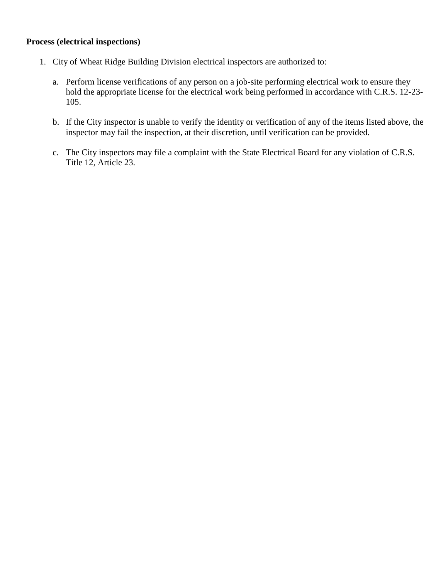## **Process (electrical inspections)**

- 1. City of Wheat Ridge Building Division electrical inspectors are authorized to:
	- a. Perform license verifications of any person on a job-site performing electrical work to ensure they hold the appropriate license for the electrical work being performed in accordance with C.R.S. 12-23- 105.
	- b. If the City inspector is unable to verify the identity or verification of any of the items listed above, the inspector may fail the inspection, at their discretion, until verification can be provided.
	- c. The City inspectors may file a complaint with the State Electrical Board for any violation of C.R.S. Title 12, Article 23.